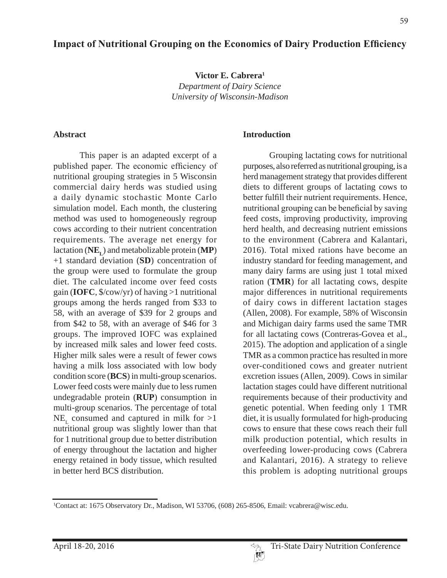**Victor E. Cabrera1** *Department of Dairy Science University of Wisconsin-Madison*

#### **Abstract**

This paper is an adapted excerpt of a published paper. The economic efficiency of nutritional grouping strategies in 5 Wisconsin commercial dairy herds was studied using a daily dynamic stochastic Monte Carlo simulation model. Each month, the clustering method was used to homogeneously regroup cows according to their nutrient concentration requirements. The average net energy for lactation (**NEL**) and metabolizable protein (**MP**) +1 standard deviation (**SD**) concentration of the group were used to formulate the group diet. The calculated income over feed costs gain (**IOFC**, \$/cow/yr) of having >1 nutritional groups among the herds ranged from \$33 to 58, with an average of \$39 for 2 groups and from \$42 to 58, with an average of \$46 for 3 groups. The improved IOFC was explained by increased milk sales and lower feed costs. Higher milk sales were a result of fewer cows having a milk loss associated with low body condition score (**BCS**) in multi-group scenarios. Lower feed costs were mainly due to less rumen undegradable protein (**RUP**) consumption in multi-group scenarios. The percentage of total  $NE_{r}$  consumed and captured in milk for  $>1$ nutritional group was slightly lower than that for 1 nutritional group due to better distribution of energy throughout the lactation and higher energy retained in body tissue, which resulted in better herd BCS distribution.

#### **Introduction**

Grouping lactating cows for nutritional purposes, also referred as nutritional grouping, is a herd management strategy that provides different diets to different groups of lactating cows to better fulfill their nutrient requirements. Hence, nutritional grouping can be beneficial by saving feed costs, improving productivity, improving herd health, and decreasing nutrient emissions to the environment (Cabrera and Kalantari, 2016). Total mixed rations have become an industry standard for feeding management, and many dairy farms are using just 1 total mixed ration (**TMR**) for all lactating cows, despite major differences in nutritional requirements of dairy cows in different lactation stages (Allen, 2008). For example, 58% of Wisconsin and Michigan dairy farms used the same TMR for all lactating cows (Contreras-Govea et al., 2015). The adoption and application of a single TMR as a common practice has resulted in more over-conditioned cows and greater nutrient excretion issues (Allen, 2009). Cows in similar lactation stages could have different nutritional requirements because of their productivity and genetic potential. When feeding only 1 TMR diet, it is usually formulated for high-producing cows to ensure that these cows reach their full milk production potential, which results in overfeeding lower-producing cows (Cabrera and Kalantari, 2016). A strategy to relieve this problem is adopting nutritional groups

<sup>1</sup> Contact at: 1675 Observatory Dr., Madison, WI 53706, (608) 265-8506, Email: vcabrera@wisc.edu.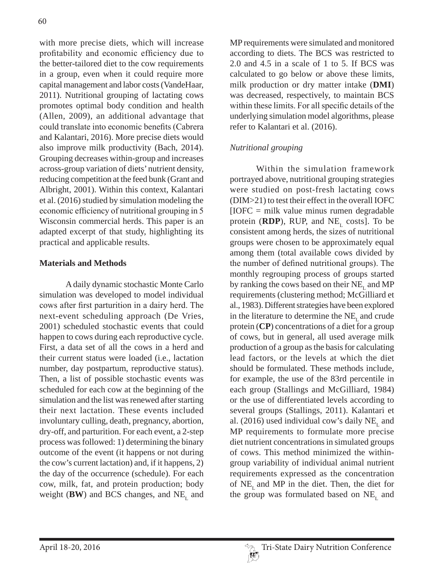with more precise diets, which will increase profitability and economic efficiency due to the better-tailored diet to the cow requirements in a group, even when it could require more capital management and labor costs (VandeHaar, 2011). Nutritional grouping of lactating cows promotes optimal body condition and health (Allen, 2009), an additional advantage that could translate into economic benefits (Cabrera and Kalantari, 2016). More precise diets would also improve milk productivity (Bach, 2014). Grouping decreases within-group and increases across-group variation of diets' nutrient density, reducing competition at the feed bunk (Grant and Albright, 2001). Within this context, Kalantari et al. (2016) studied by simulation modeling the economic efficiency of nutritional grouping in 5 Wisconsin commercial herds. This paper is an adapted excerpt of that study, highlighting its practical and applicable results.

### **Materials and Methods**

A daily dynamic stochastic Monte Carlo simulation was developed to model individual cows after first parturition in a dairy herd. The next-event scheduling approach (De Vries, 2001) scheduled stochastic events that could happen to cows during each reproductive cycle. First, a data set of all the cows in a herd and their current status were loaded (i.e., lactation number, day postpartum, reproductive status). Then, a list of possible stochastic events was scheduled for each cow at the beginning of the simulation and the list was renewed after starting their next lactation. These events included involuntary culling, death, pregnancy, abortion, dry-off, and parturition. For each event, a 2-step process was followed: 1) determining the binary outcome of the event (it happens or not during the cow's current lactation) and, if it happens, 2) the day of the occurrence (schedule). For each cow, milk, fat, and protein production; body weight (**BW**) and BCS changes, and  $NE<sub>L</sub>$  and MP requirements were simulated and monitored according to diets. The BCS was restricted to 2.0 and 4.5 in a scale of 1 to 5. If BCS was calculated to go below or above these limits, milk production or dry matter intake (**DMI**) was decreased, respectively, to maintain BCS within these limits. For all specific details of the underlying simulation model algorithms, please refer to Kalantari et al. (2016).

# *Nutritional grouping*

Within the simulation framework portrayed above, nutritional grouping strategies were studied on post-fresh lactating cows (DIM>21) to test their effect in the overall IOFC  $[IOFC = milk value minus rumen degradable]$ protein ( $RDP$ ), RUP, and NE<sub>r</sub> costs]. To be consistent among herds, the sizes of nutritional groups were chosen to be approximately equal among them (total available cows divided by the number of defined nutritional groups). The monthly regrouping process of groups started by ranking the cows based on their  $NE<sub>r</sub>$  and MP requirements (clustering method; McGilliard et al., 1983). Different strategies have been explored in the literature to determine the  $NE<sub>r</sub>$  and crude protein (**CP**) concentrations of a diet for a group of cows, but in general, all used average milk production of a group as the basis for calculating lead factors, or the levels at which the diet should be formulated. These methods include, for example, the use of the 83rd percentile in each group (Stallings and McGilliard, 1984) or the use of differentiated levels according to several groups (Stallings, 2011). Kalantari et al. (2016) used individual cow's daily  $NE<sub>r</sub>$  and MP requirements to formulate more precise diet nutrient concentrations in simulated groups of cows. This method minimized the withingroup variability of individual animal nutrient requirements expressed as the concentration of  $NE_{\tau}$  and MP in the diet. Then, the diet for the group was formulated based on  $NE<sub>L</sub>$  and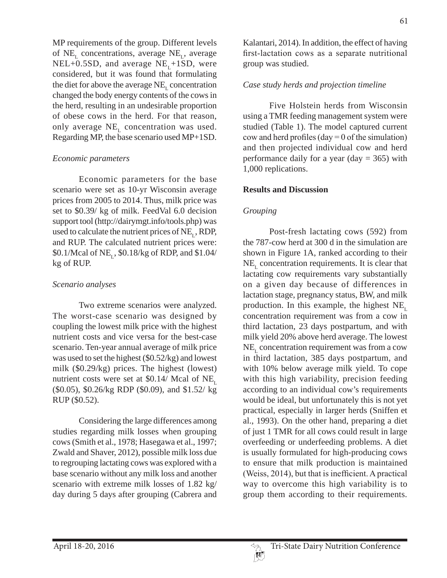MP requirements of the group. Different levels of  $NE_{\text{L}}$  concentrations, average  $NE_{\text{L}}$ , average  $NEL+0.5SD$ , and average  $NE$ <sub>r</sub>+1SD, were considered, but it was found that formulating the diet for above the average NE<sub>L</sub> concentration changed the body energy contents of the cows in the herd, resulting in an undesirable proportion of obese cows in the herd. For that reason, only average NE<sub>L</sub> concentration was used. Regarding MP, the base scenario used MP+1SD.

### *Economic parameters*

Economic parameters for the base scenario were set as 10-yr Wisconsin average prices from 2005 to 2014. Thus, milk price was set to \$0.39/ kg of milk. FeedVal 6.0 decision support tool (http://dairymgt.info/tools.php) was used to calculate the nutrient prices of  $NE_r$ , RDP, and RUP. The calculated nutrient prices were: \$0.1/Mcal of NE<sub>1</sub>, \$0.18/kg of RDP, and \$1.04/ kg of RUP.

#### *Scenario analyses*

Two extreme scenarios were analyzed. The worst-case scenario was designed by coupling the lowest milk price with the highest nutrient costs and vice versa for the best-case scenario. Ten-year annual average of milk price was used to set the highest (\$0.52/kg) and lowest milk (\$0.29/kg) prices. The highest (lowest) nutrient costs were set at \$0.14/ Mcal of  $NE$ <sub>r</sub> (\$0.05), \$0.26/kg RDP (\$0.09), and \$1.52/ kg RUP (\$0.52).

Considering the large differences among studies regarding milk losses when grouping cows (Smith et al., 1978; Hasegawa et al., 1997; Zwald and Shaver, 2012), possible milk loss due to regrouping lactating cows was explored with a base scenario without any milk loss and another scenario with extreme milk losses of 1.82 kg/ day during 5 days after grouping (Cabrera and

Kalantari, 2014). In addition, the effect of having first-lactation cows as a separate nutritional group was studied.

### *Case study herds and projection timeline*

Five Holstein herds from Wisconsin using a TMR feeding management system were studied (Table 1). The model captured current cow and herd profiles (day = 0 of the simulation) and then projected individual cow and herd performance daily for a year (day  $= 365$ ) with 1,000 replications.

#### **Results and Discussion**

### *Grouping*

Post-fresh lactating cows (592) from the 787-cow herd at 300 d in the simulation are shown in Figure 1A, ranked according to their  $NE<sub>L</sub>$  concentration requirements. It is clear that lactating cow requirements vary substantially on a given day because of differences in lactation stage, pregnancy status, BW, and milk production. In this example, the highest  $NE$ <sub>r</sub> concentration requirement was from a cow in third lactation, 23 days postpartum, and with milk yield 20% above herd average. The lowest  $NE<sub>r</sub>$  concentration requirement was from a cow in third lactation, 385 days postpartum, and with 10% below average milk yield. To cope with this high variability, precision feeding according to an individual cow's requirements would be ideal, but unfortunately this is not yet practical, especially in larger herds (Sniffen et al., 1993). On the other hand, preparing a diet of just 1 TMR for all cows could result in large overfeeding or underfeeding problems. A diet is usually formulated for high-producing cows to ensure that milk production is maintained (Weiss,  $2014$ ), but that is inefficient. A practical way to overcome this high variability is to group them according to their requirements.

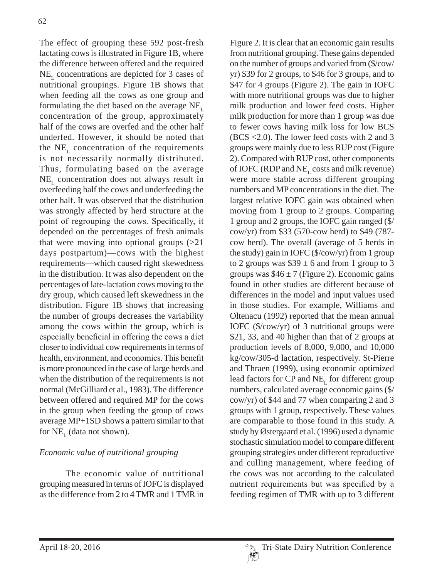The effect of grouping these 592 post-fresh lactating cows is illustrated in Figure 1B, where the difference between offered and the required  $NE<sub>r</sub>$  concentrations are depicted for 3 cases of nutritional groupings. Figure 1B shows that when feeding all the cows as one group and formulating the diet based on the average  $NE$ <sub>r</sub> concentration of the group, approximately half of the cows are overfed and the other half underfed. However, it should be noted that the  $NE<sub>r</sub>$  concentration of the requirements is not necessarily normally distributed. Thus, formulating based on the average  $NE<sub>r</sub>$  concentration does not always result in overfeeding half the cows and underfeeding the other half. It was observed that the distribution was strongly affected by herd structure at the point of regrouping the cows. Specifically, it depended on the percentages of fresh animals that were moving into optional groups  $(>21)$ days postpartum)—cows with the highest requirements—which caused right skewedness in the distribution. It was also dependent on the percentages of late-lactation cows moving to the dry group, which caused left skewedness in the distribution. Figure 1B shows that increasing the number of groups decreases the variability among the cows within the group, which is especially beneficial in offering the cows a diet closer to individual cow requirements in terms of health, environment, and economics. This benefit is more pronounced in the case of large herds and when the distribution of the requirements is not normal (McGilliard et al., 1983). The difference between offered and required MP for the cows in the group when feeding the group of cows average MP+1SD shows a pattern similar to that for  $NE_{I}$  (data not shown).

# *Economic value of nutritional grouping*

The economic value of nutritional grouping measured in terms of IOFC is displayed as the difference from 2 to 4 TMR and 1 TMR in

Figure 2. It is clear that an economic gain results from nutritional grouping. These gains depended on the number of groups and varied from (\$/cow/ yr) \$39 for 2 groups, to \$46 for 3 groups, and to \$47 for 4 groups (Figure 2). The gain in IOFC with more nutritional groups was due to higher milk production and lower feed costs. Higher milk production for more than 1 group was due to fewer cows having milk loss for low BCS (BCS <2.0). The lower feed costs with 2 and 3 groups were mainly due to less RUP cost (Figure 2). Compared with RUP cost, other components of IOFC (RDP and  $NE$ <sub>r</sub> costs and milk revenue) were more stable across different grouping numbers and MP concentrations in the diet. The largest relative IOFC gain was obtained when moving from 1 group to 2 groups. Comparing 1 group and 2 groups, the IOFC gain ranged (\$/ cow/yr) from \$33 (570-cow herd) to \$49 (787 cow herd). The overall (average of 5 herds in the study) gain in IOFC (\$/cow/yr) from 1 group to 2 groups was  $$39 \pm 6$  and from 1 group to 3 groups was  $$46 \pm 7$  (Figure 2). Economic gains found in other studies are different because of differences in the model and input values used in those studies. For example, Williams and Oltenacu (1992) reported that the mean annual IOFC (\$/cow/yr) of 3 nutritional groups were \$21, 33, and 40 higher than that of 2 groups at production levels of 8,000, 9,000, and 10,000 kg/cow/305-d lactation, respectively. St-Pierre and Thraen (1999), using economic optimized lead factors for CP and NE<sub>r</sub> for different group numbers, calculated average economic gains (\$/ cow/yr) of \$44 and 77 when comparing 2 and 3 groups with 1 group, respectively. These values are comparable to those found in this study. A study by Østergaard et al. (1996) used a dynamic stochastic simulation model to compare different grouping strategies under different reproductive and culling management, where feeding of the cows was not according to the calculated nutrient requirements but was specified by a feeding regimen of TMR with up to 3 different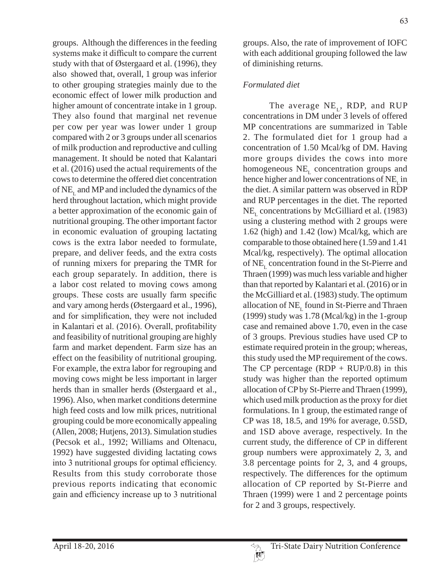groups. Although the differences in the feeding systems make it difficult to compare the current study with that of Østergaard et al. (1996), they also showed that, overall, 1 group was inferior to other grouping strategies mainly due to the economic effect of lower milk production and higher amount of concentrate intake in 1 group. They also found that marginal net revenue per cow per year was lower under 1 group compared with 2 or 3 groups under all scenarios of milk production and reproductive and culling management. It should be noted that Kalantari et al. (2016) used the actual requirements of the cows to determine the offered diet concentration of  $NE<sub>L</sub>$  and MP and included the dynamics of the herd throughout lactation, which might provide a better approximation of the economic gain of nutritional grouping. The other important factor in economic evaluation of grouping lactating cows is the extra labor needed to formulate, prepare, and deliver feeds, and the extra costs of running mixers for preparing the TMR for each group separately. In addition, there is a labor cost related to moving cows among groups. These costs are usually farm specific and vary among herds (Østergaard et al., 1996), and for simplification, they were not included in Kalantari et al. (2016). Overall, profitability and feasibility of nutritional grouping are highly farm and market dependent. Farm size has an effect on the feasibility of nutritional grouping. For example, the extra labor for regrouping and moving cows might be less important in larger herds than in smaller herds (Østergaard et al., 1996). Also, when market conditions determine high feed costs and low milk prices, nutritional grouping could be more economically appealing (Allen, 2008; Hutjens, 2013). Simulation studies (Pecsok et al., 1992; Williams and Oltenacu, 1992) have suggested dividing lactating cows into 3 nutritional groups for optimal efficiency. Results from this study corroborate those previous reports indicating that economic gain and efficiency increase up to 3 nutritional

groups. Also, the rate of improvement of IOFC with each additional grouping followed the law of diminishing returns.

# *Formulated diet*

The average  $NE_{L}$ , RDP, and RUP concentrations in DM under 3 levels of offered MP concentrations are summarized in Table 2. The formulated diet for 1 group had a concentration of 1.50 Mcal/kg of DM. Having more groups divides the cows into more homogeneous  $NE<sub>r</sub>$  concentration groups and hence higher and lower concentrations of  $NE<sub>r</sub>$  in the diet. A similar pattern was observed in RDP and RUP percentages in the diet. The reported  $NE<sub>r</sub>$  concentrations by McGilliard et al. (1983) using a clustering method with 2 groups were 1.62 (high) and 1.42 (low) Mcal/kg, which are comparable to those obtained here (1.59 and 1.41 Mcal/kg, respectively). The optimal allocation of  $NE<sub>L</sub>$  concentration found in the St-Pierre and Thraen (1999) was much less variable and higher than that reported by Kalantari et al. (2016) or in the McGilliard et al. (1983) study. The optimum allocation of  $NE<sub>r</sub>$  found in St-Pierre and Thraen (1999) study was 1.78 (Mcal/kg) in the 1-group case and remained above 1.70, even in the case of 3 groups. Previous studies have used CP to estimate required protein in the group; whereas, this study used the MP requirement of the cows. The CP percentage  $(RDP + RUP/0.8)$  in this study was higher than the reported optimum allocation of CP by St-Pierre and Thraen (1999), which used milk production as the proxy for diet formulations. In 1 group, the estimated range of CP was 18, 18.5, and 19% for average, 0.5SD, and 1SD above average, respectively. In the current study, the difference of CP in different group numbers were approximately 2, 3, and 3.8 percentage points for 2, 3, and 4 groups, respectively. The differences for the optimum allocation of CP reported by St-Pierre and Thraen (1999) were 1 and 2 percentage points for 2 and 3 groups, respectively.

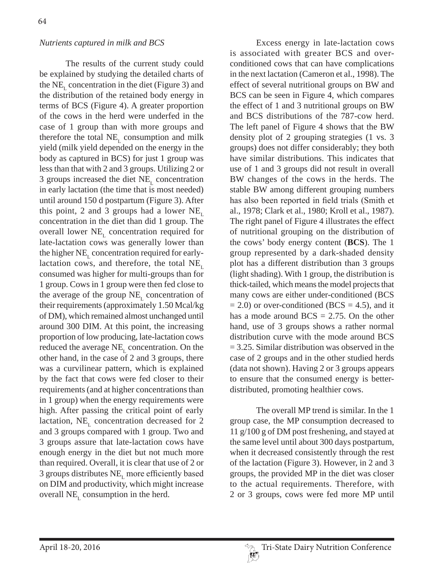## *Nutrients captured in milk and BCS*

The results of the current study could be explained by studying the detailed charts of the NE<sub>r</sub> concentration in the diet (Figure 3) and the distribution of the retained body energy in terms of BCS (Figure 4). A greater proportion of the cows in the herd were underfed in the case of 1 group than with more groups and therefore the total  $NE_{t}$  consumption and milk yield (milk yield depended on the energy in the body as captured in BCS) for just 1 group was less than that with 2 and 3 groups. Utilizing 2 or 3 groups increased the diet  $NE<sub>r</sub>$  concentration in early lactation (the time that is most needed) until around 150 d postpartum (Figure 3). After this point, 2 and 3 groups had a lower  $NE$ <sub>r</sub> concentration in the diet than did 1 group. The overall lower  $NE_{\tau}$  concentration required for late-lactation cows was generally lower than the higher NE, concentration required for earlylactation cows, and therefore, the total  $NE<sub>L</sub>$ consumed was higher for multi-groups than for 1 group. Cows in 1 group were then fed close to the average of the group  $NE<sub>L</sub>$  concentration of their requirements (approximately 1.50 Mcal/kg of DM), which remained almost unchanged until around 300 DIM. At this point, the increasing proportion of low producing, late-lactation cows reduced the average  $NE<sub>r</sub>$  concentration. On the other hand, in the case of 2 and 3 groups, there was a curvilinear pattern, which is explained by the fact that cows were fed closer to their requirements (and at higher concentrations than in 1 group) when the energy requirements were high. After passing the critical point of early lactation,  $NE<sub>r</sub>$  concentration decreased for 2 and 3 groups compared with 1 group. Two and 3 groups assure that late-lactation cows have enough energy in the diet but not much more than required. Overall, it is clear that use of 2 or 3 groups distributes  $NE$ <sub>r</sub> more efficiently based on DIM and productivity, which might increase overall  $NE<sub>r</sub>$  consumption in the herd.

Excess energy in late-lactation cows is associated with greater BCS and overconditioned cows that can have complications in the next lactation (Cameron et al., 1998). The effect of several nutritional groups on BW and BCS can be seen in Figure 4, which compares the effect of 1 and 3 nutritional groups on BW and BCS distributions of the 787-cow herd. The left panel of Figure 4 shows that the BW density plot of 2 grouping strategies (1 vs. 3 groups) does not differ considerably; they both have similar distributions. This indicates that use of 1 and 3 groups did not result in overall BW changes of the cows in the herds. The stable BW among different grouping numbers has also been reported in field trials (Smith et al., 1978; Clark et al., 1980; Kroll et al., 1987). The right panel of Figure 4 illustrates the effect of nutritional grouping on the distribution of the cows' body energy content (**BCS**). The 1 group represented by a dark-shaded density plot has a different distribution than 3 groups (light shading). With 1 group, the distribution is thick-tailed, which means the model projects that many cows are either under-conditioned (BCS  $= 2.0$ ) or over-conditioned (BCS  $= 4.5$ ), and it has a mode around  $BCS = 2.75$ . On the other hand, use of 3 groups shows a rather normal distribution curve with the mode around BCS  $= 3.25$ . Similar distribution was observed in the case of 2 groups and in the other studied herds (data not shown). Having 2 or 3 groups appears to ensure that the consumed energy is betterdistributed, promoting healthier cows.

The overall MP trend is similar. In the 1 group case, the MP consumption decreased to 11 g/100 g of DM post freshening, and stayed at the same level until about 300 days postpartum, when it decreased consistently through the rest of the lactation (Figure 3). However, in 2 and 3 groups, the provided MP in the diet was closer to the actual requirements. Therefore, with 2 or 3 groups, cows were fed more MP until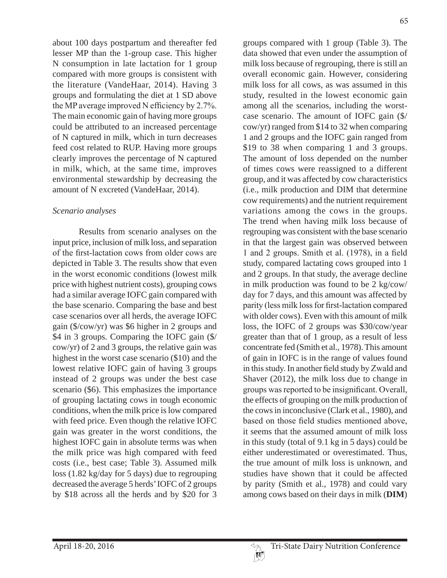about 100 days postpartum and thereafter fed lesser MP than the 1-group case. This higher N consumption in late lactation for 1 group compared with more groups is consistent with the literature (VandeHaar, 2014). Having 3 groups and formulating the diet at 1 SD above the MP average improved N efficiency by  $2.7\%$ . The main economic gain of having more groups could be attributed to an increased percentage of N captured in milk, which in turn decreases feed cost related to RUP. Having more groups clearly improves the percentage of N captured in milk, which, at the same time, improves environmental stewardship by decreasing the amount of N excreted (VandeHaar, 2014).

### *Scenario analyses*

Results from scenario analyses on the input price, inclusion of milk loss, and separation of the first-lactation cows from older cows are depicted in Table 3. The results show that even in the worst economic conditions (lowest milk price with highest nutrient costs), grouping cows had a similar average IOFC gain compared with the base scenario. Comparing the base and best case scenarios over all herds, the average IOFC gain (\$/cow/yr) was \$6 higher in 2 groups and \$4 in 3 groups. Comparing the IOFC gain  $(\frac{5}{4})$ cow/yr) of 2 and 3 groups, the relative gain was highest in the worst case scenario (\$10) and the lowest relative IOFC gain of having 3 groups instead of 2 groups was under the best case scenario (\$6). This emphasizes the importance of grouping lactating cows in tough economic conditions, when the milk price is low compared with feed price. Even though the relative IOFC gain was greater in the worst conditions, the highest IOFC gain in absolute terms was when the milk price was high compared with feed costs (i.e., best case; Table 3). Assumed milk loss (1.82 kg/day for 5 days) due to regrouping decreased the average 5 herds' IOFC of 2 groups by \$18 across all the herds and by \$20 for 3

groups compared with 1 group (Table 3). The data showed that even under the assumption of milk loss because of regrouping, there is still an overall economic gain. However, considering milk loss for all cows, as was assumed in this study, resulted in the lowest economic gain among all the scenarios, including the worstcase scenario. The amount of IOFC gain (\$/ cow/yr) ranged from \$14 to 32 when comparing 1 and 2 groups and the IOFC gain ranged from \$19 to 38 when comparing 1 and 3 groups. The amount of loss depended on the number of times cows were reassigned to a different group, and it was affected by cow characteristics (i.e., milk production and DIM that determine cow requirements) and the nutrient requirement variations among the cows in the groups. The trend when having milk loss because of regrouping was consistent with the base scenario in that the largest gain was observed between 1 and 2 groups. Smith et al. (1978), in a field study, compared lactating cows grouped into 1 and 2 groups. In that study, the average decline in milk production was found to be 2 kg/cow/ day for 7 days, and this amount was affected by parity (less milk loss for first-lactation compared with older cows). Even with this amount of milk loss, the IOFC of 2 groups was \$30/cow/year greater than that of 1 group, as a result of less concentrate fed (Smith et al., 1978). This amount of gain in IOFC is in the range of values found in this study. In another field study by Zwald and Shaver (2012), the milk loss due to change in groups was reported to be insignificant. Overall, the effects of grouping on the milk production of the cows in inconclusive (Clark et al., 1980), and based on those field studies mentioned above. it seems that the assumed amount of milk loss in this study (total of 9.1 kg in 5 days) could be either underestimated or overestimated. Thus, the true amount of milk loss is unknown, and studies have shown that it could be affected by parity (Smith et al., 1978) and could vary among cows based on their days in milk (**DIM**)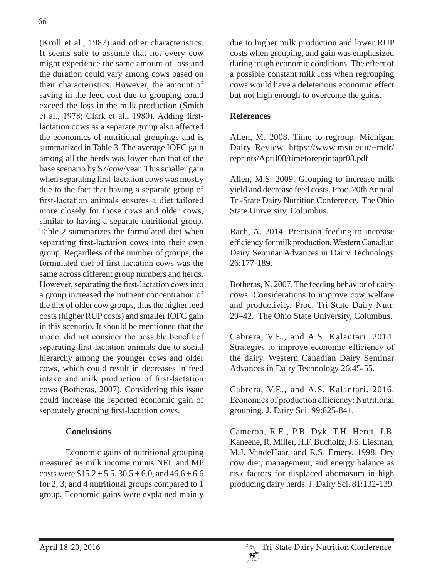(Kroll et al., 1987) and other characteristics. It seems safe to assume that not every cow might experience the same amount of loss and the duration could vary among cows based on their characteristics. However, the amount of saving in the feed cost due to grouping could exceed the loss in the milk production (Smith et al., 1978; Clark et al., 1980). Adding firstlactation cows as a separate group also affected the economics of nutritional groupings and is summarized in Table 3. The average IOFC gain among all the herds was lower than that of the base scenario by \$7/cow/year. This smaller gain when separating first-lactation cows was mostly due to the fact that having a separate group of first-lactation animals ensures a diet tailored more closely for those cows and older cows, similar to having a separate nutritional group. Table 2 summarizes the formulated diet when separating first-lactation cows into their own group. Regardless of the number of groups, the formulated diet of first-lactation cows was the same across different group numbers and herds. However, separating the first-lactation cows into a group increased the nutrient concentration of the diet of older cow groups, thus the higher feed costs (higher RUP costs) and smaller IOFC gain in this scenario. It should be mentioned that the model did not consider the possible benefit of separating first-lactation animals due to social hierarchy among the younger cows and older cows, which could result in decreases in feed intake and milk production of first-lactation cows (Botheras, 2007). Considering this issue could increase the reported economic gain of separately grouping first-lactation cows.

# **Conclusions**

Economic gains of nutritional grouping measured as milk income minus NEL and MP costs were  $$15.2 \pm 5.5, 30.5 \pm 6.0, and 46.6 \pm 6.6$ for 2, 3, and 4 nutritional groups compared to 1 group. Economic gains were explained mainly due to higher milk production and lower RUP costs when grouping, and gain was emphasized during tough economic conditions. The effect of a possible constant milk loss when regrouping cows would have a deleterious economic effect but not high enough to overcome the gains.

## **References**

Allen, M. 2008. Time to regroup. Michigan Dairy Review. https://www.msu.edu/~mdr/ reprints/April08/timetoreprintapr08.pdf

Allen, M.S. 2009. Grouping to increase milk yield and decrease feed costs. Proc. 20th Annual Tri-State Dairy Nutrition Conference. The Ohio State University, Columbus.

Bach, A. 2014. Precision feeding to increase efficiency for milk production. Western Canadian Dairy Seminar Advances in Dairy Technology 26:177-189.

Botheras, N. 2007. The feeding behavior of dairy cows: Considerations to improve cow welfare and productivity. Proc. Tri-State Dairy Nutr. 29–42. The Ohio State University, Columbus.

Cabrera, V.E., and A.S. Kalantari. 2014. Strategies to improve economic efficiency of the dairy. Western Canadian Dairy Seminar Advances in Dairy Technology 26:45-55.

Cabrera, V.E., and A.S. Kalantari. 2016. Economics of production efficiency: Nutritional grouping. J. Dairy Sci. 99:825-841.

Cameron, R.E., P.B. Dyk, T.H. Herdt, J.B. Kaneene, R. Miller, H.F. Bucholtz, J.S. Liesman, M.J. VandeHaar, and R.S. Emery. 1998. Dry cow diet, management, and energy balance as risk factors for displaced abomasum in high producing dairy herds. J. Dairy Sci. 81:132-139.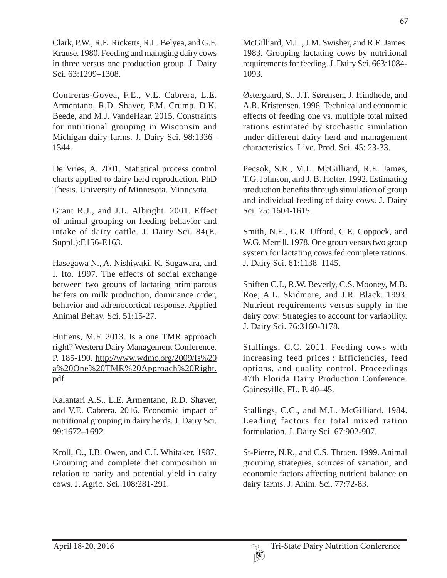Clark, P.W., R.E. Ricketts, R.L. Belyea, and G.F. Krause. 1980. Feeding and managing dairy cows in three versus one production group. J. Dairy Sci. 63:1299–1308.

Contreras-Govea, F.E., V.E. Cabrera, L.E. Armentano, R.D. Shaver, P.M. Crump, D.K. Beede, and M.J. VandeHaar. 2015. Constraints for nutritional grouping in Wisconsin and Michigan dairy farms. J. Dairy Sci. 98:1336– 1344.

De Vries, A. 2001. Statistical process control charts applied to dairy herd reproduction. PhD Thesis. University of Minnesota. Minnesota.

Grant R.J., and J.L. Albright. 2001. Effect of animal grouping on feeding behavior and intake of dairy cattle. J. Dairy Sci. 84(E. Suppl.):E156-E163.

Hasegawa N., A. Nishiwaki, K. Sugawara, and I. Ito. 1997. The effects of social exchange between two groups of lactating primiparous heifers on milk production, dominance order, behavior and adrenocortical response. Applied Animal Behav. Sci. 51:15-27.

Hutjens, M.F. 2013. Is a one TMR approach right? Western Dairy Management Conference. P. 185-190. http://www.wdmc.org/2009/Is%20 a%20One%20TMR%20Approach%20Right. pdf

Kalantari A.S., L.E. Armentano, R.D. Shaver, and V.E. Cabrera. 2016. Economic impact of nutritional grouping in dairy herds. J. Dairy Sci. 99:1672–1692.

Kroll, O., J.B. Owen, and C.J. Whitaker. 1987. Grouping and complete diet composition in relation to parity and potential yield in dairy cows. J. Agric. Sci. 108:281-291.

McGilliard, M.L., J.M. Swisher, and R.E. James. 1983. Grouping lactating cows by nutritional requirements for feeding. J. Dairy Sci. 663:1084- 1093.

Østergaard, S., J.T. Sørensen, J. Hindhede, and A.R. Kristensen. 1996. Technical and economic effects of feeding one vs. multiple total mixed rations estimated by stochastic simulation under different dairy herd and management characteristics. Live. Prod. Sci. 45: 23-33.

Pecsok, S.R., M.L. McGilliard, R.E. James, T.G. Johnson, and J. B. Holter. 1992. Estimating production benefits through simulation of group and individual feeding of dairy cows. J. Dairy Sci. 75: 1604-1615.

Smith, N.E., G.R. Ufford, C.E. Coppock, and W.G. Merrill. 1978. One group versus two group system for lactating cows fed complete rations. J. Dairy Sci. 61:1138–1145.

Sniffen C.J., R.W. Beverly, C.S. Mooney, M.B. Roe, A.L. Skidmore, and J.R. Black. 1993. Nutrient requirements versus supply in the dairy cow: Strategies to account for variability. J. Dairy Sci. 76:3160-3178.

Stallings, C.C. 2011. Feeding cows with increasing feed prices : Efficiencies, feed options, and quality control. Proceedings 47th Florida Dairy Production Conference. Gainesville, FL. P. 40–45.

Stallings, C.C., and M.L. McGilliard. 1984. Leading factors for total mixed ration formulation. J. Dairy Sci. 67:902-907.

St-Pierre, N.R., and C.S. Thraen. 1999. Animal grouping strategies, sources of variation, and economic factors affecting nutrient balance on dairy farms. J. Anim. Sci. 77:72-83.

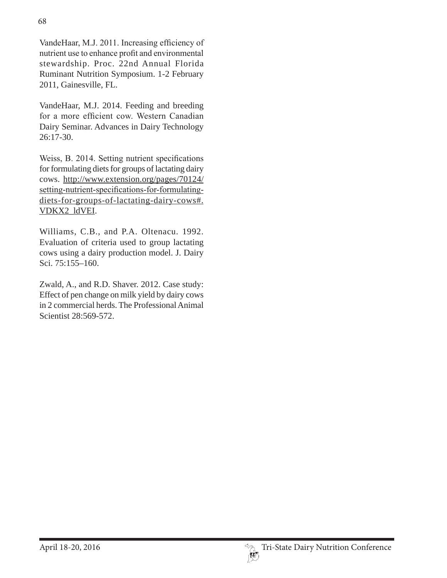VandeHaar, M.J. 2011. Increasing efficiency of nutrient use to enhance profit and environmental stewardship. Proc. 22nd Annual Florida Ruminant Nutrition Symposium. 1-2 February 2011, Gainesville, FL.

VandeHaar, M.J. 2014. Feeding and breeding for a more efficient cow. Western Canadian Dairy Seminar. Advances in Dairy Technology 26:17-30.

Weiss, B. 2014. Setting nutrient specifications for formulating diets for groups of lactating dairy cows. http://www.extension.org/pages/70124/ setting-nutrient-specifications-for-formulatingdiets-for-groups-of-lactating-dairy-cows#. VDKX2\_ldVEI.

Williams, C.B., and P.A. Oltenacu. 1992. Evaluation of criteria used to group lactating cows using a dairy production model. J. Dairy Sci. 75:155–160.

Zwald, A., and R.D. Shaver. 2012. Case study: Effect of pen change on milk yield by dairy cows in 2 commercial herds. The Professional Animal Scientist 28:569-572.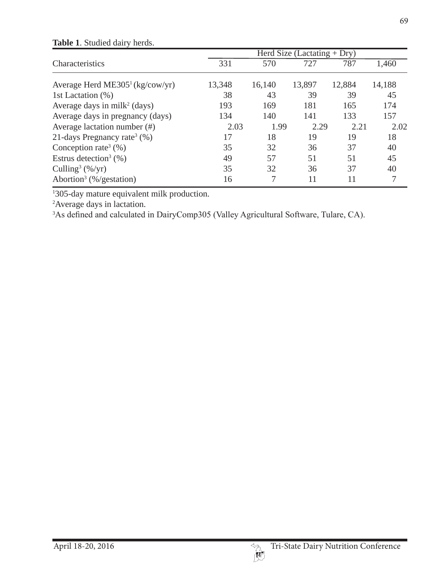|                                             | Herd Size (Lactating $+$ Dry) |        |        |        |        |  |
|---------------------------------------------|-------------------------------|--------|--------|--------|--------|--|
| Characteristics                             | 331                           | 570    | 727    | 787    | 1,460  |  |
| Average Herd ME305 <sup>1</sup> (kg/cow/yr) | 13,348                        | 16,140 | 13,897 | 12,884 | 14,188 |  |
| 1st Lactation (%)                           | 38                            | 43     | 39     | 39     | 45     |  |
| Average days in milk <sup>2</sup> (days)    | 193                           | 169    | 181    | 165    | 174    |  |
| Average days in pregnancy (days)            | 134                           | 140    | 141    | 133    | 157    |  |
| Average lactation number $(\#)$             | 2.03                          | 1.99   | 2.29   | 2.21   | 2.02   |  |
| 21-days Pregnancy rate <sup>3</sup> $(\%)$  | 17                            | 18     | 19     | 19     | 18     |  |
| Conception rate <sup>3</sup> $(\%)$         | 35                            | 32     | 36     | 37     | 40     |  |
| Estrus detection <sup>3</sup> $(\% )$       | 49                            | 57     | 51     | 51     | 45     |  |
| Culling <sup>3</sup> $(\frac{6}{yr})$       | 35                            | 32     | 36     | 37     | 40     |  |
| Abortion <sup>3</sup> (%/gestation)         | 16                            | 7      | 11     | 11     | 7      |  |

### **Table 1**. Studied dairy herds.

1 305-day mature equivalent milk production.

2 Average days in lactation.

 $3$ As defined and calculated in DairyComp305 (Valley Agricultural Software, Tulare, CA).

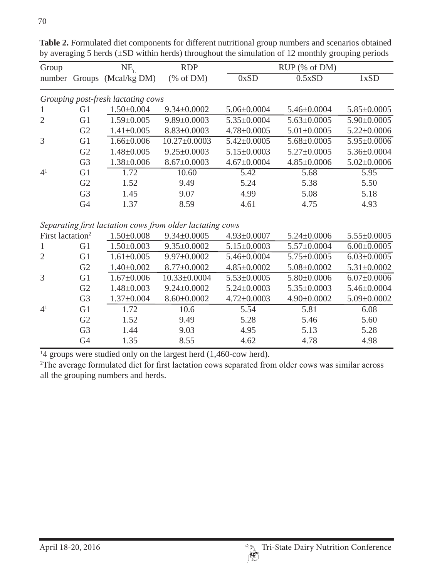| Group          |                | $NE_{r}$                           | <b>RDP</b>         | RUP (% of DM)     |                   |                   |  |
|----------------|----------------|------------------------------------|--------------------|-------------------|-------------------|-------------------|--|
|                |                | number Groups (Mcal/kg DM)         | % of DM            | 0xSD              | 0.5xSD            | 1xSD              |  |
|                |                | Grouping post-fresh lactating cows |                    |                   |                   |                   |  |
| 1              | G1             | $1.50 \pm 0.004$                   | $9.34 \pm 0.0002$  | $5.06 \pm 0.0004$ | $5.46 \pm 0.0004$ | $5.85 \pm 0.0005$ |  |
| $\overline{2}$ | G <sub>1</sub> | $1.59 \pm 0.005$                   | $9.89 \pm 0.0003$  | $5.35 \pm 0.0004$ | $5.63 \pm 0.0005$ | $5.90 \pm 0.0005$ |  |
|                | G2             | $1.41 \pm 0.005$                   | $8.83 \pm 0.0003$  | $4.78 \pm 0.0005$ | $5.01 \pm 0.0005$ | $5.22 \pm 0.0006$ |  |
| 3              | G <sub>1</sub> | $1.66 \pm 0.006$                   | $10.27 \pm 0.0003$ | $5.42 \pm 0.0005$ | $5.68 \pm 0.0005$ | $5.95 \pm 0.0006$ |  |
|                | G2             | $1.48 \pm 0.005$                   | $9.25 \pm 0.0003$  | $5.15 \pm 0.0003$ | $5.27 \pm 0.0005$ | $5.36 \pm 0.0004$ |  |
|                | G <sub>3</sub> | $1.38 \pm 0.006$                   | $8.67 \pm 0.0003$  | $4.67 \pm 0.0004$ | $4.85 \pm 0.0006$ | $5.02 \pm 0.0006$ |  |
| 4 <sup>1</sup> | G <sub>1</sub> | 1.72                               | 10.60              | 5.42              | 5.68              | 5.95              |  |
|                | G2             | 1.52                               | 9.49               | 5.24              | 5.38              | 5.50              |  |
|                | G <sub>3</sub> | 1.45                               | 9.07               | 4.99              | 5.08              | 5.18              |  |
|                | G <sub>4</sub> | 1.37                               | 8.59               | 4.61              | 4.75              | 4.93              |  |

Table 2. Formulated diet components for different nutritional group numbers and scenarios obtained by averaging 5 herds (±SD within herds) throughout the simulation of 12 monthly grouping periods

*<u>Separating first lactation cows from older lactating cows***</u>** 

| First lactation <sup>2</sup> |                | $1.50 \pm 0.008$ | $9.34 \pm 0.0005$ | $4.93 \pm 0.0007$ | $5.24 \pm 0.0006$ | $5.55 \pm 0.0005$ |
|------------------------------|----------------|------------------|-------------------|-------------------|-------------------|-------------------|
|                              | G <sub>1</sub> | $1.50 \pm 0.003$ | $9.35 \pm 0.0002$ | $5.15 \pm 0.0003$ | $5.57 \pm 0.0004$ | $6.00 \pm 0.0005$ |
| 2                            | G <sub>1</sub> | $1.61 \pm 0.005$ | $9.97 \pm 0.0002$ | $5.46 \pm 0.0004$ | $5.75 \pm 0.0005$ | $6.03 \pm 0.0005$ |
|                              | G <sub>2</sub> | $1.40 \pm 0.002$ | $8.77 \pm 0.0002$ | $4.85 \pm 0.0002$ | $5.08 \pm 0.0002$ | $5.31 \pm 0.0002$ |
| 3                            | G <sub>1</sub> | $1.67 \pm 0.006$ | 10.33±0.0004      | $5.53 \pm 0.0005$ | $5.80 \pm 0.0006$ | $6.07 \pm 0.0006$ |
|                              | G <sub>2</sub> | $1.48 \pm 0.003$ | $9.24 \pm 0.0002$ | $5.24 \pm 0.0003$ | $5.35 \pm 0.0003$ | $5.46 \pm 0.0004$ |
|                              | G <sub>3</sub> | $1.37 \pm 0.004$ | $8.60 \pm 0.0002$ | $4.72 \pm 0.0003$ | $4.90 \pm 0.0002$ | $5.09 \pm 0.0002$ |
| $4^{1}$                      | G1             | 1.72             | 10.6              | 5.54              | 5.81              | 6.08              |
|                              | G2             | 1.52             | 9.49              | 5.28              | 5.46              | 5.60              |
|                              | G <sub>3</sub> | 1.44             | 9.03              | 4.95              | 5.13              | 5.28              |
|                              | G <sub>4</sub> | 1.35             | 8.55              | 4.62              | 4.78              | 4.98              |

<sup>1</sup>4 groups were studied only on the largest herd (1,460-cow herd).

<sup>2</sup>The average formulated diet for first lactation cows separated from older cows was similar across all the grouping numbers and herds.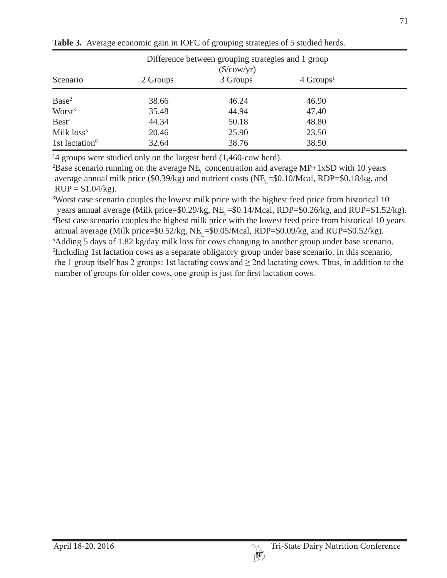|                            |          | Difference between grouping strategies and 1 group |                         |  |
|----------------------------|----------|----------------------------------------------------|-------------------------|--|
|                            |          | $(\frac{\sqrt{2}}{\sqrt{2}})$                      |                         |  |
| Scenario                   | 2 Groups | 3 Groups                                           | $4$ Groups <sup>1</sup> |  |
| Base <sup>2</sup>          | 38.66    | 46.24                                              | 46.90                   |  |
| Worst <sup>3</sup>         | 35.48    | 44.94                                              | 47.40                   |  |
| Best <sup>4</sup>          | 44.34    | 50.18                                              | 48.80                   |  |
| Milk loss <sup>5</sup>     | 20.46    | 25.90                                              | 23.50                   |  |
| 1st lactation <sup>6</sup> | 32.64    | 38.76                                              | 38.50                   |  |

**Table 3.** Average economic gain in IOFC of grouping strategies of 5 studied herds.

<sup>1</sup>4 groups were studied only on the largest herd (1,460-cow herd).

<sup>2</sup>Base scenario running on the average  $NE<sub>L</sub>$  concentration and average  $MP+1xSD$  with 10 years average annual milk price (\$0.39/kg) and nutrient costs (NE<sub>L</sub>=\$0.10/Mcal, RDP=\$0.18/kg, and  $RUP = $1.04/kg$ .

<sup>3</sup>Worst case scenario couples the lowest milk price with the highest feed price from historical 10 years annual average (Milk price= $$0.29/kg$ , NE<sub>r</sub>= $$0.14/Mcal$ , RDP= $$0.26/kg$ , and RUP= $$1.52/kg$ ). 4 Best case scenario couples the highest milk price with the lowest feed price from historical 10 years annual average (Milk price= $$0.52/kg$ , NE<sub>r</sub>= $$0.05/Mcal, RDP=$0.09/kg$ , and RUP= $$0.52/kg$ ). 5 Adding 5 days of 1.82 kg/day milk loss for cows changing to another group under base scenario. 6 Including 1st lactation cows as a separate obligatory group under base scenario. In this scenario, the 1 group itself has 2 groups: 1st lactating cows and  $\geq$  2nd lactating cows. Thus, in addition to the number of groups for older cows, one group is just for first lactation cows.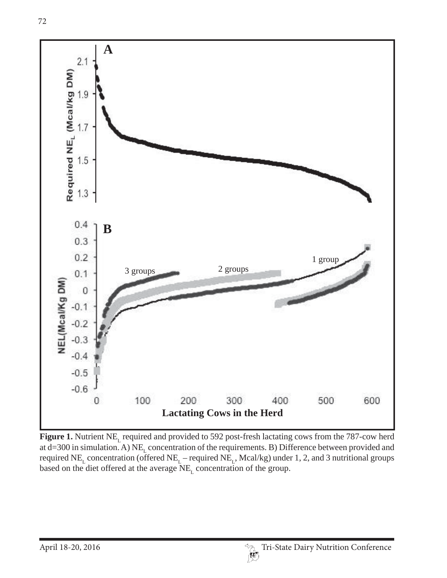

Figure 1. Nutrient NE<sub>L</sub> required and provided to 592 post-fresh lactating cows from the 787-cow herd at d=300 in simulation. A)  $NE<sub>L</sub>$  concentration of the requirements. B) Difference between provided and required NE<sub>L</sub> concentration (offered NE<sub>L</sub> – required NE<sub>L</sub>, Mcal/kg) under 1, 2, and 3 nutritional groups based on the diet offered at the average  $NE<sub>L</sub>$  concentration of the group.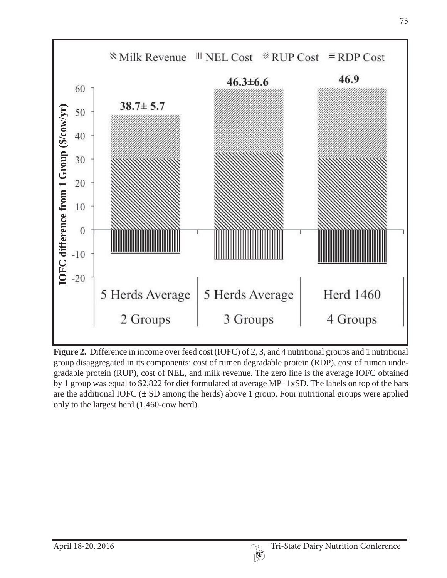

**Figure 2.** Difference in income over feed cost (IOFC) of 2, 3, and 4 nutritional groups and 1 nutritional group disaggregated in its components: cost of rumen degradable protein (RDP), cost of rumen undegradable protein (RUP), cost of NEL, and milk revenue. The zero line is the average IOFC obtained by 1 group was equal to \$2,822 for diet formulated at average MP+1xSD. The labels on top of the bars are the additional IOFC  $(\pm SD)$  among the herds) above 1 group. Four nutritional groups were applied